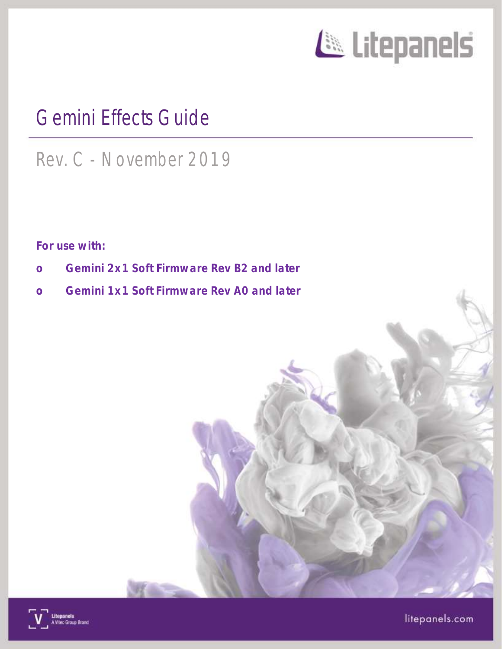

# Gemini Effects Guide

# Rev. C - November 2019

For use with:

- o Gemini 2x1 Soft Firmware Rev B2 and later
- o Gemini 1x1 Soft Firmware Rev A0 and later



litepanels.com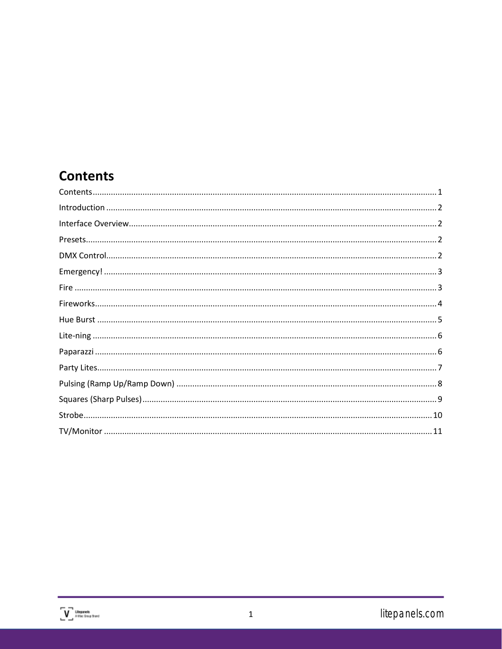## <span id="page-1-0"></span>**Contents**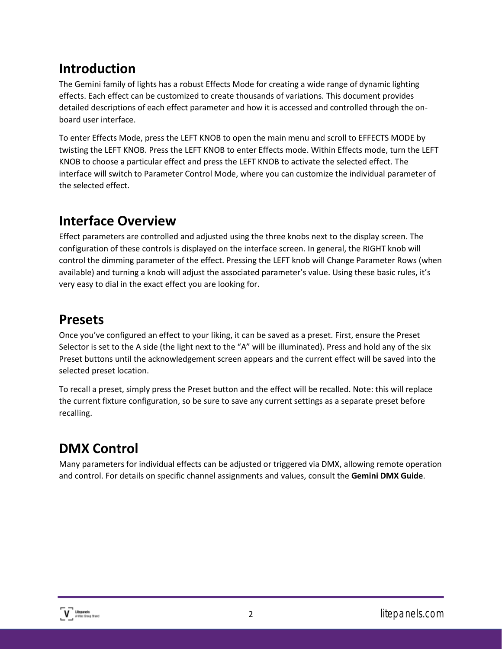## <span id="page-2-0"></span>**Introduction**

The Gemini family of lights has a robust Effects Mode for creating a wide range of dynamic lighting effects. Each effect can be customized to create thousands of variations. This document provides detailed descriptions of each effect parameter and how it is accessed and controlled through the onboard user interface.

To enter Effects Mode, press the LEFT KNOB to open the main menu and scroll to EFFECTS MODE by twisting the LEFT KNOB. Press the LEFT KNOB to enter Effects mode. Within Effects mode, turn the LEFT KNOB to choose a particular effect and press the LEFT KNOB to activate the selected effect. The interface will switch to Parameter Control Mode, where you can customize the individual parameter of the selected effect.

## <span id="page-2-1"></span>**Interface Overview**

Effect parameters are controlled and adjusted using the three knobs next to the display screen. The configuration of these controls is displayed on the interface screen. In general, the RIGHT knob will control the dimming parameter of the effect. Pressing the LEFT knob will Change Parameter Rows (when available) and turning a knob will adjust the associated parameter's value. Using these basic rules, it's very easy to dial in the exact effect you are looking for.

#### <span id="page-2-2"></span>**Presets**

Once you've configured an effect to your liking, it can be saved as a preset. First, ensure the Preset Selector is set to the A side (the light next to the "A" will be illuminated). Press and hold any of the six Preset buttons until the acknowledgement screen appears and the current effect will be saved into the selected preset location.

To recall a preset, simply press the Preset button and the effect will be recalled. Note: this will replace the current fixture configuration, so be sure to save any current settings as a separate preset before recalling.

# <span id="page-2-3"></span>**DMX Control**

Many parameters for individual effects can be adjusted or triggered via DMX, allowing remote operation and control. For details on specific channel assignments and values, consult the **Gemini DMX Guide**.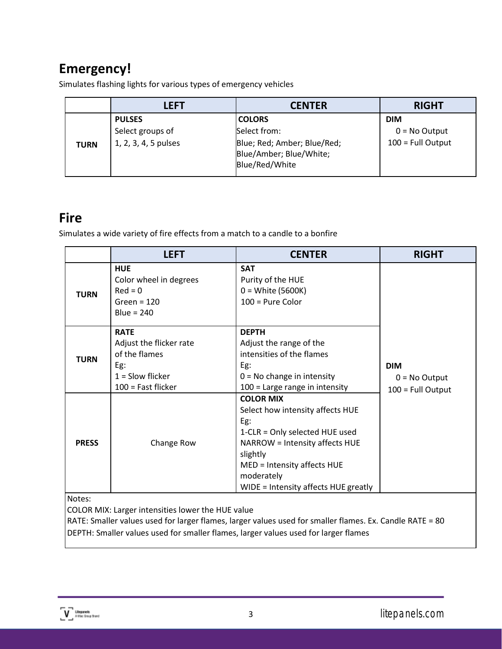## <span id="page-3-0"></span>**Emergency!**

Simulates flashing lights for various types of emergency vehicles

|             | LEFT                 | <b>CENTER</b>                                                            | <b>RIGHT</b>        |
|-------------|----------------------|--------------------------------------------------------------------------|---------------------|
|             | <b>PULSES</b>        | <b>COLORS</b>                                                            | <b>DIM</b>          |
|             | Select groups of     | Select from:                                                             | $0 = No$ Output     |
| <b>TURN</b> | 1, 2, 3, 4, 5 pulses | Blue; Red; Amber; Blue/Red;<br>Blue/Amber; Blue/White;<br>Blue/Red/White | $100 = Full Output$ |

#### <span id="page-3-1"></span>**Fire**

Simulates a wide variety of fire effects from a match to a candle to a bonfire

|                                                             | <b>LEFT</b>                                                                                                  | <b>CENTER</b>                                                                                                                                                                                                                    | <b>RIGHT</b>                                         |
|-------------------------------------------------------------|--------------------------------------------------------------------------------------------------------------|----------------------------------------------------------------------------------------------------------------------------------------------------------------------------------------------------------------------------------|------------------------------------------------------|
| <b>TURN</b>                                                 | <b>HUE</b><br>Color wheel in degrees<br>$Red = 0$<br>Green = $120$<br>Blue = $240$                           | <b>SAT</b><br>Purity of the HUE<br>$0 = White (5600K)$<br>$100$ = Pure Color                                                                                                                                                     |                                                      |
| <b>TURN</b>                                                 | <b>RATE</b><br>Adjust the flicker rate<br>of the flames<br>Eg:<br>$1 =$ Slow flicker<br>$100$ = Fast flicker | <b>DEPTH</b><br>Adjust the range of the<br>intensities of the flames<br>Eg:<br>$0 = No$ change in intensity<br>$100$ = Large range in intensity                                                                                  | <b>DIM</b><br>$0 = No$ Output<br>$100 =$ Full Output |
| <b>PRESS</b>                                                | Change Row                                                                                                   | <b>COLOR MIX</b><br>Select how intensity affects HUE<br>Eg:<br>1-CLR = Only selected HUE used<br>NARROW = Intensity affects HUE<br>slightly<br>MED = Intensity affects HUE<br>moderately<br>WIDE = Intensity affects HUE greatly |                                                      |
| Notes:<br>COLOR MIX: Larger intensities lower the HUE value |                                                                                                              |                                                                                                                                                                                                                                  |                                                      |

RATE: Smaller values used for larger flames, larger values used for smaller flames. Ex. Candle RATE = 80 DEPTH: Smaller values used for smaller flames, larger values used for larger flames

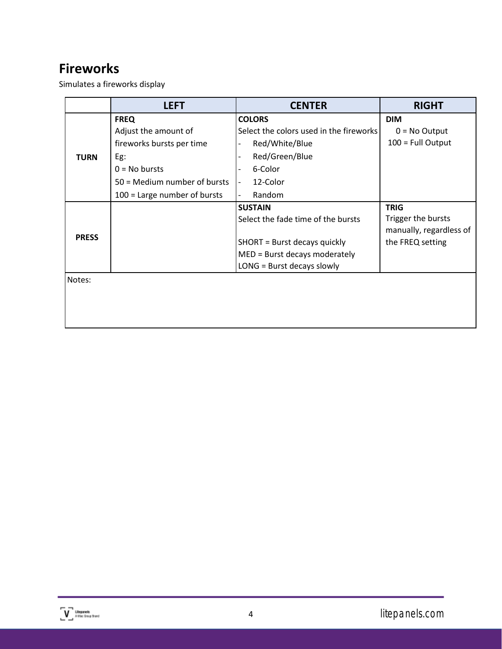#### <span id="page-4-0"></span>**Fireworks**

Simulates a fireworks display

|              | <b>LEFT</b>                    | <b>CENTER</b>                           | <b>RIGHT</b>            |
|--------------|--------------------------------|-----------------------------------------|-------------------------|
|              | <b>FREQ</b>                    | <b>COLORS</b>                           | <b>DIM</b>              |
|              | Adjust the amount of           | Select the colors used in the fireworks | $0 = No$ Output         |
|              | fireworks bursts per time      | Red/White/Blue                          | 100 = Full Output       |
| <b>TURN</b>  | Eg:                            | Red/Green/Blue                          |                         |
|              | $0 = No$ bursts                | 6-Color                                 |                         |
|              | 50 = Medium number of bursts   | 12-Color                                |                         |
|              | $100$ = Large number of bursts | Random                                  |                         |
|              |                                | <b>SUSTAIN</b>                          | <b>TRIG</b>             |
|              |                                | Select the fade time of the bursts      | Trigger the bursts      |
| <b>PRESS</b> |                                |                                         | manually, regardless of |
|              |                                | SHORT = Burst decays quickly            | the FREQ setting        |
|              |                                | MED = Burst decays moderately           |                         |
|              |                                | LONG = Burst decays slowly              |                         |
| Notes:       |                                |                                         |                         |
|              |                                |                                         |                         |
|              |                                |                                         |                         |
|              |                                |                                         |                         |
|              |                                |                                         |                         |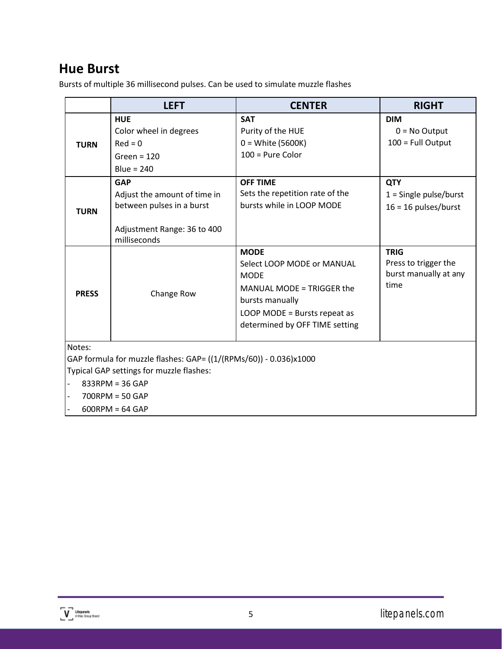#### <span id="page-5-0"></span>**Hue Burst**

Bursts of multiple 36 millisecond pulses. Can be used to simulate muzzle flashes

|                                    | <b>LEFT</b>                                                                                                                                                                     | <b>CENTER</b>                                                                                                                                                              | <b>RIGHT</b>                                                         |
|------------------------------------|---------------------------------------------------------------------------------------------------------------------------------------------------------------------------------|----------------------------------------------------------------------------------------------------------------------------------------------------------------------------|----------------------------------------------------------------------|
| <b>TURN</b>                        | <b>HUE</b><br>Color wheel in degrees<br>$Red = 0$<br>Green = $120$<br>Blue = $240$                                                                                              | <b>SAT</b><br>Purity of the HUE<br>$0 = White (5600K)$<br>$100$ = Pure Color                                                                                               | <b>DIM</b><br>$0 = No$ Output<br>100 = Full Output                   |
| <b>TURN</b>                        | <b>GAP</b><br>Adjust the amount of time in<br>between pulses in a burst<br>Adjustment Range: 36 to 400<br>milliseconds                                                          | <b>OFF TIME</b><br>Sets the repetition rate of the<br>bursts while in LOOP MODE                                                                                            | <b>QTY</b><br>$1 =$ Single pulse/burst<br>$16 = 16$ pulses/burst     |
| <b>PRESS</b>                       | Change Row                                                                                                                                                                      | <b>MODE</b><br>Select LOOP MODE or MANUAL<br><b>MODE</b><br>MANUAL MODE = TRIGGER the<br>bursts manually<br>LOOP MODE = Bursts repeat as<br>determined by OFF TIME setting | <b>TRIG</b><br>Press to trigger the<br>burst manually at any<br>time |
| Notes:<br>$\overline{\phantom{a}}$ | GAP formula for muzzle flashes: GAP= ((1/(RPMs/60)) - 0.036)x1000<br>Typical GAP settings for muzzle flashes:<br>$833$ RPM = 36 GAP<br>$700$ RPM = 50 GAP<br>$600$ RPM = 64 GAP |                                                                                                                                                                            |                                                                      |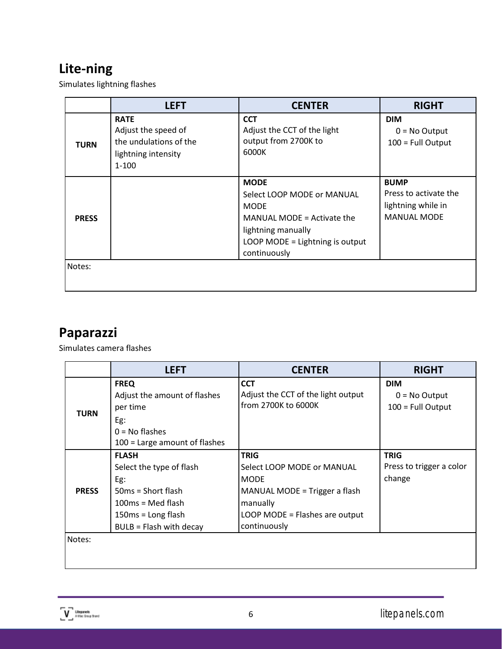# <span id="page-6-0"></span>**Lite-ning**

Simulates lightning flashes

|              | <b>LEFT</b>                                                                                      | <b>CENTER</b>                                                                                                                                                   | <b>RIGHT</b>                                                                     |
|--------------|--------------------------------------------------------------------------------------------------|-----------------------------------------------------------------------------------------------------------------------------------------------------------------|----------------------------------------------------------------------------------|
| <b>TURN</b>  | <b>RATE</b><br>Adjust the speed of<br>the undulations of the<br>lightning intensity<br>$1 - 100$ | <b>CCT</b><br>Adjust the CCT of the light<br>output from 2700K to<br>6000K                                                                                      | <b>DIM</b><br>$0 = No$ Output<br>100 = Full Output                               |
| <b>PRESS</b> |                                                                                                  | <b>MODE</b><br>Select LOOP MODE or MANUAL<br><b>MODE</b><br>MANUAL MODE = Activate the<br>lightning manually<br>LOOP MODE = Lightning is output<br>continuously | <b>BUMP</b><br>Press to activate the<br>lightning while in<br><b>MANUAL MODE</b> |
| Notes:       |                                                                                                  |                                                                                                                                                                 |                                                                                  |

# <span id="page-6-1"></span>**Paparazzi**

Simulates camera flashes

|              | <b>LEFT</b>                                                                                                                                       | <b>CENTER</b>                                                                                                                                           | <b>RIGHT</b>                                         |
|--------------|---------------------------------------------------------------------------------------------------------------------------------------------------|---------------------------------------------------------------------------------------------------------------------------------------------------------|------------------------------------------------------|
| <b>TURN</b>  | <b>FREQ</b><br>Adjust the amount of flashes<br>per time<br>Eg:<br>$0 = No$ flashes<br>100 = Large amount of flashes                               | <b>CCT</b><br>Adjust the CCT of the light output<br>from 2700K to 6000K                                                                                 | <b>DIM</b><br>$0 = No$ Output<br>$100 = Full Output$ |
| <b>PRESS</b> | <b>FLASH</b><br>Select the type of flash<br>Eg:<br>$50ms = Short flash$<br>$100ms = Med flash$<br>$150ms = Long flash$<br>BULB = Flash with decay | <b>TRIG</b><br>Select LOOP MODE or MANUAL<br><b>MODE</b><br>MANUAL MODE = Trigger a flash<br>manually<br>LOOP MODE = Flashes are output<br>continuously | <b>TRIG</b><br>Press to trigger a color<br>change    |
| Notes:       |                                                                                                                                                   |                                                                                                                                                         |                                                      |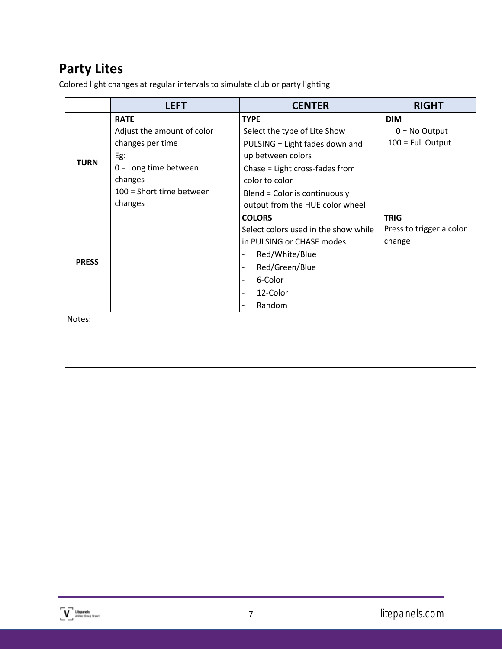## <span id="page-7-0"></span>**Party Lites**

Colored light changes at regular intervals to simulate club or party lighting

|              | <b>LEFT</b>                                                                                                                                       | <b>CENTER</b>                                                                                                                                                                                                              | <b>RIGHT</b>                                         |  |
|--------------|---------------------------------------------------------------------------------------------------------------------------------------------------|----------------------------------------------------------------------------------------------------------------------------------------------------------------------------------------------------------------------------|------------------------------------------------------|--|
| <b>TURN</b>  | <b>RATE</b><br>Adjust the amount of color<br>changes per time<br>Eg:<br>$0 =$ Long time between<br>changes<br>100 = Short time between<br>changes | <b>TYPE</b><br>Select the type of Lite Show<br>PULSING = Light fades down and<br>up between colors<br>Chase = Light cross-fades from<br>color to color<br>Blend = Color is continuously<br>output from the HUE color wheel | <b>DIM</b><br>$0 = No$ Output<br>$100 = Full Output$ |  |
| <b>PRESS</b> |                                                                                                                                                   | <b>COLORS</b><br>Select colors used in the show while<br>in PULSING or CHASE modes<br>Red/White/Blue<br>Red/Green/Blue<br>6-Color<br>12-Color<br>Random                                                                    | <b>TRIG</b><br>Press to trigger a color<br>change    |  |
| Notes:       |                                                                                                                                                   |                                                                                                                                                                                                                            |                                                      |  |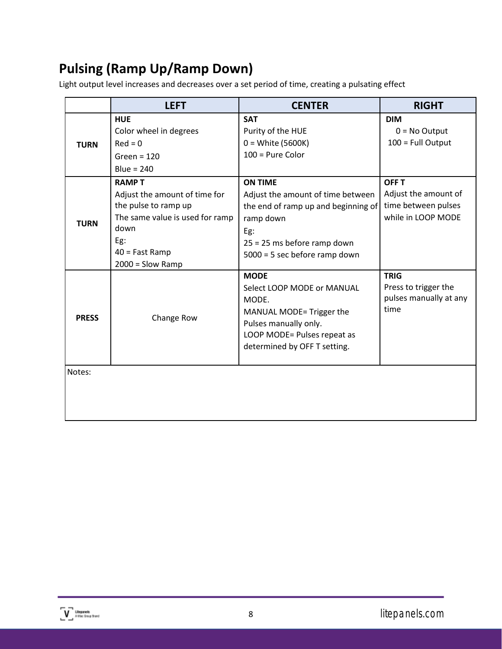# <span id="page-8-0"></span>**Pulsing (Ramp Up/Ramp Down)**

Light output level increases and decreases over a set period of time, creating a pulsating effect

|              | <b>LEFT</b>                                                                                                                                                       | <b>CENTER</b>                                                                                                                                                                  | <b>RIGHT</b>                                                                      |
|--------------|-------------------------------------------------------------------------------------------------------------------------------------------------------------------|--------------------------------------------------------------------------------------------------------------------------------------------------------------------------------|-----------------------------------------------------------------------------------|
| <b>TURN</b>  | <b>HUE</b><br>Color wheel in degrees<br>$Red = 0$<br>Green = $120$<br>Blue = $240$                                                                                | <b>SAT</b><br>Purity of the HUE<br>$0 = White (5600K)$<br>$100$ = Pure Color                                                                                                   | <b>DIM</b><br>$0 = No$ Output<br>100 = Full Output                                |
| <b>TURN</b>  | <b>RAMPT</b><br>Adjust the amount of time for<br>the pulse to ramp up<br>The same value is used for ramp<br>down<br>Eg:<br>$40 =$ Fast Ramp<br>$2000 =$ Slow Ramp | <b>ON TIME</b><br>Adjust the amount of time between<br>the end of ramp up and beginning of<br>ramp down<br>Eg:<br>25 = 25 ms before ramp down<br>5000 = 5 sec before ramp down | <b>OFF T</b><br>Adjust the amount of<br>time between pulses<br>while in LOOP MODE |
| <b>PRESS</b> | Change Row                                                                                                                                                        | <b>MODE</b><br>Select LOOP MODE or MANUAL<br>MODE.<br>MANUAL MODE= Trigger the<br>Pulses manually only.<br>LOOP MODE= Pulses repeat as<br>determined by OFF T setting.         | <b>TRIG</b><br>Press to trigger the<br>pulses manually at any<br>time             |
| Notes:       |                                                                                                                                                                   |                                                                                                                                                                                |                                                                                   |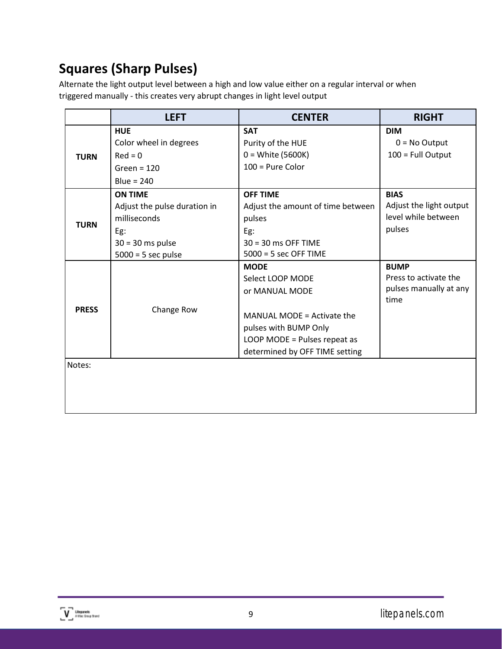# <span id="page-9-0"></span>**Squares (Sharp Pulses)**

Alternate the light output level between a high and low value either on a regular interval or when triggered manually - this creates very abrupt changes in light level output

|              | <b>LEFT</b>                  | <b>CENTER</b>                     | <b>RIGHT</b>            |
|--------------|------------------------------|-----------------------------------|-------------------------|
|              | <b>HUE</b>                   | <b>SAT</b>                        | <b>DIM</b>              |
|              | Color wheel in degrees       | Purity of the HUE                 | $0 = No$ Output         |
| <b>TURN</b>  | $Red = 0$                    | $0 = White (5600K)$               | 100 = Full Output       |
|              | Green = $120$                | $100$ = Pure Color                |                         |
|              | Blue = $240$                 |                                   |                         |
|              | <b>ON TIME</b>               | <b>OFF TIME</b>                   | <b>BIAS</b>             |
|              | Adjust the pulse duration in | Adjust the amount of time between | Adjust the light output |
| <b>TURN</b>  | milliseconds                 | pulses                            | level while between     |
|              | Eg:                          | Eg:                               | pulses                  |
|              | $30 = 30$ ms pulse           | $30 = 30$ ms OFF TIME             |                         |
|              | $5000 = 5$ sec pulse         | $5000 = 5$ sec OFF TIME           |                         |
|              |                              | <b>MODE</b>                       | <b>BUMP</b>             |
|              |                              | Select LOOP MODE                  | Press to activate the   |
|              |                              | or MANUAL MODE                    | pulses manually at any  |
| <b>PRESS</b> | Change Row                   |                                   | time                    |
|              |                              | MANUAL MODE = Activate the        |                         |
|              |                              | pulses with BUMP Only             |                         |
|              |                              | LOOP MODE = Pulses repeat as      |                         |
|              |                              | determined by OFF TIME setting    |                         |
| Notes:       |                              |                                   |                         |
|              |                              |                                   |                         |
|              |                              |                                   |                         |
|              |                              |                                   |                         |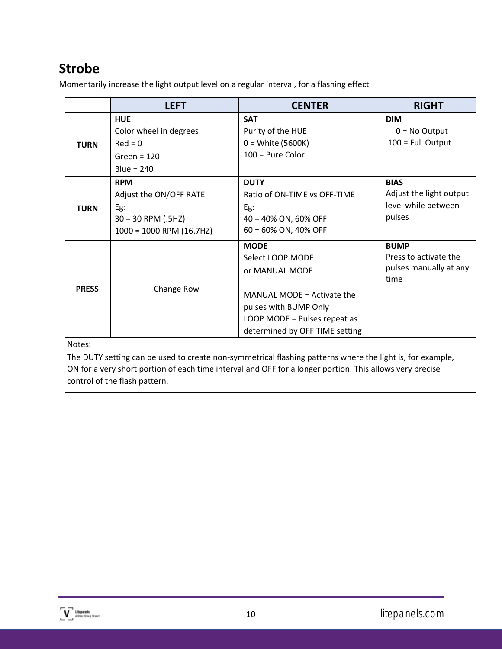## <span id="page-10-0"></span>**Strobe**

Momentarily increase the light output level on a regular interval, for a flashing effect

|              | <b>LEFT</b>                                                                                       | <b>CENTER</b>                                                                                                                                                              | <b>RIGHT</b>                                                            |  |
|--------------|---------------------------------------------------------------------------------------------------|----------------------------------------------------------------------------------------------------------------------------------------------------------------------------|-------------------------------------------------------------------------|--|
| <b>TURN</b>  | <b>HUE</b><br>Color wheel in degrees<br>$Red = 0$<br>Green = $120$<br>Blue = $240$                | <b>SAT</b><br>Purity of the HUE<br>$0 = White (5600K)$<br>$100$ = Pure Color                                                                                               | <b>DIM</b><br>$0 = No$ Output<br>$100 = Full Output$                    |  |
| <b>TURN</b>  | <b>RPM</b><br>Adjust the ON/OFF RATE<br>Eg:<br>$30 = 30$ RPM (.5HZ)<br>$1000 = 1000$ RPM (16.7HZ) | <b>DUTY</b><br>Ratio of ON-TIME vs OFF-TIME<br>Eg:<br>40 = 40% ON, 60% OFF<br>60 = 60% ON, 40% OFF                                                                         | <b>BIAS</b><br>Adjust the light output<br>level while between<br>pulses |  |
| <b>PRESS</b> | Change Row                                                                                        | <b>MODE</b><br>Select LOOP MODE<br>or MANUAL MODE<br>MANUAL MODE = Activate the<br>pulses with BUMP Only<br>LOOP MODE = Pulses repeat as<br>determined by OFF TIME setting | <b>BUMP</b><br>Press to activate the<br>pulses manually at any<br>time  |  |
| Notes:       |                                                                                                   |                                                                                                                                                                            |                                                                         |  |

The DUTY setting can be used to create non-symmetrical flashing patterns where the light is, for example, ON for a very short portion of each time interval and OFF for a longer portion. This allows very precise control of the flash pattern.